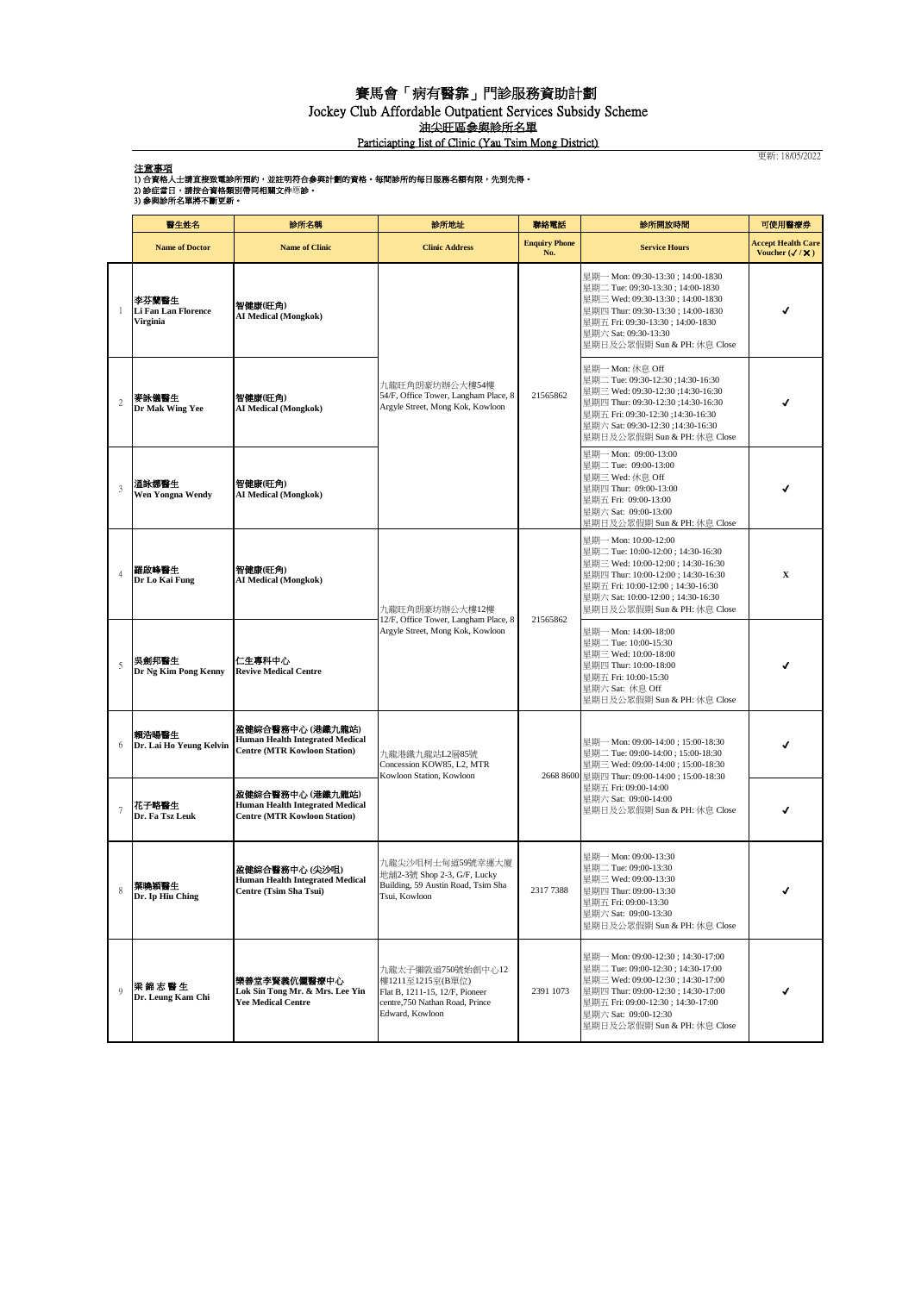## 賽馬會「病有醫靠」門診服務資助計劃

Jockey Club Affordable Outpatient Services Subsidy Scheme

油尖旺區參與診所名單

Particiapting list of Clinic (Yau Tsim Mong District)

更新: 18/05/2022

注意事項

| 1) 合資格人士請直接致電診所預約,並註明符合參與計劃的資格。每間診所的每日服務名額有限,先到先得。 |  |  |  |  |  |  |
|----------------------------------------------------|--|--|--|--|--|--|
|                                                    |  |  |  |  |  |  |

2) 診症當日,請按合資格類別帶同相關文件應診。<br>3) 参與診所名單將不斷更新。

|                | 醫生姓名                                            | 診所名稱                                                                                              | 診所地址                                                                                                                          | 聯絡電話                        | 診所開放時間                                                                                                                                                                                                                                          | 可使用醫療券                                             |
|----------------|-------------------------------------------------|---------------------------------------------------------------------------------------------------|-------------------------------------------------------------------------------------------------------------------------------|-----------------------------|-------------------------------------------------------------------------------------------------------------------------------------------------------------------------------------------------------------------------------------------------|----------------------------------------------------|
|                | <b>Name of Doctor</b>                           | <b>Name of Clinic</b>                                                                             | <b>Clinic Address</b>                                                                                                         | <b>Enquiry Phone</b><br>No. | <b>Service Hours</b>                                                                                                                                                                                                                            | <b>Accept Health Care</b><br>Voucher $(\sqrt{/X})$ |
| 1              | 李芬蘭醫生<br><b>Li Fan Lan Florence</b><br>Virginia | 智健康(旺角)<br>AI Medical (Mongkok)                                                                   | 九龍旺角朗豪坊辦公大樓54樓<br>54/F, Office Tower, Langham Place, 8<br>Argyle Street, Mong Kok, Kowloon                                    | 21565862                    | 星期一 Mon: 09:30-13:30; 14:00-1830<br>星期二 Tue: 09:30-13:30; 14:00-1830<br>星期三 Wed: 09:30-13:30 ; 14:00-1830<br>星期四 Thur: 09:30-13:30; 14:00-1830<br>星期五 Fri: 09:30-13:30 ; 14:00-1830<br>星期六 Sat: 09:30-13:30<br>星期日及公眾假期 Sun & PH: 休息 Close      |                                                    |
| $\overline{c}$ | 麥詠儀醫生<br>Dr Mak Wing Yee                        | 智健康(旺角)<br>AI Medical (Mongkok)                                                                   |                                                                                                                               |                             | 星期一 Mon: 休息 Off<br>星期二 Tue: 09:30-12:30 ;14:30-16:30<br>星期三 Wed: 09:30-12:30 ;14:30-16:30<br>星期四 Thur: 09:30-12:30 ;14:30-16:30<br>星期五 Fri: 09:30-12:30 ;14:30-16:30<br>星期六 Sat: 09:30-12:30 ;14:30-16:30<br>星期日及公眾假期 Sun & PH: 休息 Close        |                                                    |
| 3              | 溫詠娜醫生<br>Wen Yongna Wendy                       | 智健康(旺角)<br><b>AI Medical (Mongkok)</b>                                                            |                                                                                                                               |                             | 星期一 Mon: 09:00-13:00<br>星期二 Tue: 09:00-13:00<br>星期三 Wed: 休息 Off<br>星期四 Thur: 09:00-13:00<br>星期五 Fri: 09:00-13:00<br>星期六 Sat: 09:00-13:00<br>星期日及公眾假期 Sun & PH: 休息 Close                                                                         |                                                    |
|                | 羅啟峰醫生<br>Dr Lo Kai Fung                         | 智健康(旺角)<br><b>AI Medical (Mongkok)</b>                                                            | 九龍旺角朗豪坊辦公大樓12樓<br>12/F, Office Tower, Langham Place, 8<br>Argyle Street, Mong Kok, Kowloon                                    | 21565862                    | 星期一 Mon: 10:00-12:00<br>星期二 Tue: 10:00-12:00; 14:30-16:30<br>星期三 Wed: 10:00-12:00 ; 14:30-16:30<br>星期四 Thur: 10:00-12:00; 14:30-16:30<br>星期五 Fri: 10:00-12:00; 14:30-16:30<br>星期六 Sat: 10:00-12:00 ; 14:30-16:30<br>星期日及公眾假期 Sun & PH: 休息 Close | X                                                  |
| 5              | 吳劍邦醫生<br>Dr Ng Kim Pong Kenny                   | 仁生專科中心<br><b>Revive Medical Centre</b>                                                            |                                                                                                                               |                             | 星期— Mon: 14:00-18:00<br>星期二 Tue: 10:00-15:30<br>星期三 Wed: 10:00-18:00<br>星期四 Thur: 10:00-18:00<br>星期五 Fri: 10:00-15:30<br>星期六 Sat: 休息 Off<br>星期日及公眾假期 Sun & PH: 休息 Close                                                                         |                                                    |
| 6              | 賴浩暘醫生<br>Dr. Lai Ho Yeung Kelvin                | 盈健綜合醫務中心 (港鐵九龍站)<br>Human Health Integrated Medical<br><b>Centre (MTR Kowloon Station)</b>        | 九龍港鐵九龍站L2層85號<br>Concession KOW85, L2, MTR<br>Kowloon Station, Kowloon                                                        |                             | 星期一 Mon: 09:00-14:00 ; 15:00-18:30<br>星期二 Tue: 09:00-14:00; 15:00-18:30<br>星期三 Wed: 09:00-14:00 ; 15:00-18:30<br>2668 8600 星期四 Thur: 09:00-14:00; 15:00-18:30<br>星期五 Fri: 09:00-14:00<br>星期六 Sat: 09:00-14:00<br>星期日及公眾假期 Sun & PH: 休息 Close    |                                                    |
| $\overline{7}$ | 花子略醫生<br>Dr. Fa Tsz Leuk                        | 盈健綜合醫務中心 (港鐵九龍站)<br><b>Human Health Integrated Medical</b><br><b>Centre (MTR Kowloon Station)</b> |                                                                                                                               |                             |                                                                                                                                                                                                                                                 |                                                    |
| 8              | 葉曉穎醫生<br>Dr. Ip Hiu Ching                       | 盈健綜合醫務中心 (尖沙咀)<br><b>Human Health Integrated Medical</b><br>Centre (Tsim Sha Tsui)                | 九龍尖沙咀柯士甸道59號幸運大廈<br>地舖2-3號 Shop 2-3, G/F, Lucky<br>Building, 59 Austin Road, Tsim Sha<br>Tsui, Kowloon                        | 23177388                    | 星期一 Mon: 09:00-13:30<br>星期二 Tue: 09:00-13:30<br>星期三 Wed: 09:00-13:30<br>星期四 Thur: 09:00-13:30<br>星期五 Fri: 09:00-13:30<br>星期六 Sat: 09:00-13:30<br>星期日及公眾假期 Sun & PH: 休息 Close                                                                    | √                                                  |
| $\mathbf Q$    | 梁錦志醫生<br>Dr. Leung Kam Chi                      | 樂善堂李賢義伉儷醫療中心<br>Lok Sin Tong Mr. & Mrs. Lee Yin<br><b>Yee Medical Centre</b>                      | 九龍太子彌敦道750號始創中心12<br>樓1211至1215室(B單位)<br>Flat B, 1211-15, 12/F, Pioneer<br>centre, 750 Nathan Road, Prince<br>Edward, Kowloon | 2391 1073                   | 星期一 Mon: 09:00-12:30 ; 14:30-17:00<br>星期二 Tue: 09:00-12:30; 14:30-17:00<br>星期三 Wed: 09:00-12:30; 14:30-17:00<br>星期四 Thur: 09:00-12:30; 14:30-17:00<br>星期五 Fri: 09:00-12:30; 14:30-17:00<br>星期六 Sat: 09:00-12:30<br>星期日及公眾假期 Sun & PH: 休息 Close  |                                                    |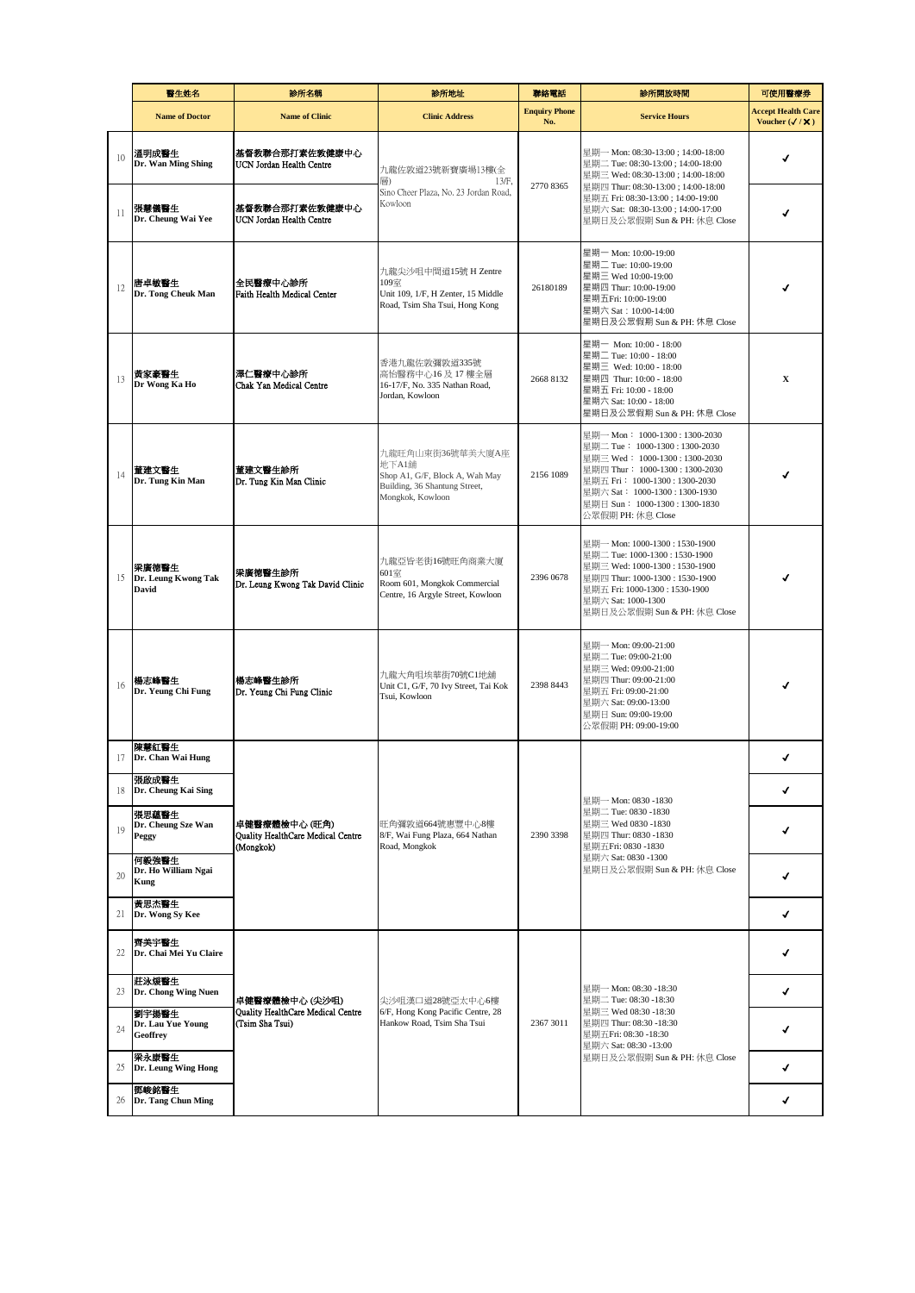|    | 醫生姓名                                   | 診所名稱                                                                                     | 診所地址                                                                                                             | 聯絡電話                        | 診所開放時間                                                                                                                                                                                                                                                     | 可使用醫療券                                             |
|----|----------------------------------------|------------------------------------------------------------------------------------------|------------------------------------------------------------------------------------------------------------------|-----------------------------|------------------------------------------------------------------------------------------------------------------------------------------------------------------------------------------------------------------------------------------------------------|----------------------------------------------------|
|    | <b>Name of Doctor</b>                  | <b>Name of Clinic</b>                                                                    | <b>Clinic Address</b>                                                                                            | <b>Enquiry Phone</b><br>No. | <b>Service Hours</b>                                                                                                                                                                                                                                       | <b>Accept Health Care</b><br>Voucher $(\sqrt{/X})$ |
| 10 | 溫明成醫生<br>Dr. Wan Ming Shing            | 基督教聯合那打素佐敦健康中心<br>UCN Jordan Health Centre<br>基督教聯合那打素佐敦健康中心<br>UCN Jordan Health Centre | 九龍佐敦道23號新寶廣場13樓(全<br>$13/F$ ,<br>層)<br>Sino Cheer Plaza, No. 23 Jordan Road,<br>Kowloon                          | 27708365                    | 星期一 Mon: 08:30-13:00; 14:00-18:00<br>星期二 Tue: 08:30-13:00; 14:00-18:00<br>星期三 Wed: 08:30-13:00; 14:00-18:00<br>星期四 Thur: 08:30-13:00; 14:00-18:00<br>星期五 Fri: 08:30-13:00; 14:00-19:00<br>星期六 Sat: 08:30-13:00; 14:00-17:00<br>星期日及公眾假期 Sun & PH: 休息 Close | √                                                  |
| 11 | 張慧儀醫生<br>Dr. Cheung Wai Yee            |                                                                                          |                                                                                                                  |                             |                                                                                                                                                                                                                                                            |                                                    |
| 12 | 唐卓敏醫生<br>Dr. Tong Cheuk Man            | 全民醫療中心診所<br>Faith Health Medical Center                                                  | 九龍尖沙咀中間道15號 H Zentre<br>109室<br>Unit 109, 1/F, H Zenter, 15 Middle<br>Road, Tsim Sha Tsui, Hong Kong             | 26180189                    | 星期一 Mon: 10:00-19:00<br>星期二 Tue: 10:00-19:00<br>星期三 Wed 10:00-19:00<br>星期四 Thur: 10:00-19:00<br>星期五Fri: 10:00-19:00<br>星期六 Sat: 10:00-14:00<br>星期日及公眾假期 Sun & PH: 休息 Close                                                                                 |                                                    |
| 13 | 黃家豪醫生<br>Dr Wong Ka Ho                 | 澤仁醫療中心診所<br>Chak Yan Medical Centre                                                      | 香港九龍佐敦彌敦道335號<br>高怡醫務中心16 及 17 樓全層<br>16-17/F, No. 335 Nathan Road,<br>Jordan, Kowloon                           | 2668 8132                   | 星期一 Mon: 10:00 - 18:00<br>星期二 Tue: 10:00 - 18:00<br>星期三 Wed: 10:00 - 18:00<br>星期四 Thur: 10:00 - 18:00<br>星期五 Fri: 10:00 - 18:00<br>星期六 Sat: 10:00 - 18:00<br>星期日及公眾假期 Sun & PH: 休息 Close                                                                   | X                                                  |
| 14 | 董建文醫生<br>Dr. Tung Kin Man              | 董建文醫生診所<br>Dr. Tung Kin Man Clinic                                                       | 九龍旺角山東街36號華美大廈A座<br>地下A1舖<br>Shop A1, G/F, Block A, Wah May<br>Building, 36 Shantung Street,<br>Mongkok, Kowloon | 2156 1089                   | 星期一 Mon: 1000-1300:1300-2030<br>星期二 Tue: 1000-1300:1300-2030<br>星期三 Wed: 1000-1300:1300-2030<br>星期四 Thur: 1000-1300:1300-2030<br>星期五 Fri: 1000-1300:1300-2030<br>星期六 Sat: 1000-1300:1300-1930<br>星期日 Sun: 1000-1300:1300-1830<br>公眾假期 PH: 休息 Close         |                                                    |
| 15 | 梁廣德醫生<br>Dr. Leung Kwong Tak<br>David  | 梁廣德醫生診所<br>Dr. Leung Kwong Tak David Clinic                                              | 九龍亞皆老街16號旺角商業大廈<br>601室<br>Room 601, Mongkok Commercial<br>Centre, 16 Argyle Street, Kowloon                     | 2396 0678                   | 星期一 Mon: 1000-1300 : 1530-1900<br>星期二 Tue: 1000-1300 : 1530-1900<br>星期三 Wed: 1000-1300: 1530-1900<br>星期四 Thur: 1000-1300: 1530-1900<br>星期五 Fri: 1000-1300: 1530-1900<br>星期六 Sat: 1000-1300<br>星期日及公眾假期 Sun & PH: 休息 Close                                  |                                                    |
| 16 | 楊志峰醫生<br>Dr. Yeung Chi Fung            | 楊志峰醫生診所<br>Dr. Yeung Chi Fung Clinic                                                     | 九龍大角咀埃華街70號C1地舖<br>Unit C1, G/F, 70 Ivy Street, Tai Kok<br>Tsui, Kowloon                                         | 2398 8443                   | 星期一 Mon: 09:00-21:00<br>星期二 Tue: 09:00-21:00<br>星期三 Wed: 09:00-21:00<br>星期四 Thur: 09:00-21:00<br>星期五 Fri: 09:00-21:00<br>星期六 Sat: 09:00-13:00<br>星期日 Sun: 09:00-19:00<br>公眾假期 PH: 09:00-19:00                                                              |                                                    |
| 17 | 陳慧紅醫生<br>Dr. Chan Wai Hung             |                                                                                          | 旺角彌敦道664號惠豐中心8樓<br>8/F, Wai Fung Plaza, 664 Nathan<br>Road, Mongkok                                              | 2390 3398                   | 星期一 Mon: 0830 -1830<br>星期二 Tue: 0830 -1830<br>星期三 Wed 0830 -1830<br>星期四 Thur: 0830 -1830<br>星期五Fri: 0830 - 1830<br>星期六 Sat: 0830 -1300<br>星期日及公眾假期 Sun & PH: 休息 Close                                                                                      | ✔                                                  |
| 18 | 張啟成醫生<br>Dr. Cheung Kai Sing           |                                                                                          |                                                                                                                  |                             |                                                                                                                                                                                                                                                            | ✔                                                  |
| 19 | 張思蘊醫生<br>Dr. Cheung Sze Wan<br>Peggy   | 卓健醫療體檢中心 (旺角)<br>Quality HealthCare Medical Centre<br>(Mongkok)                          |                                                                                                                  |                             |                                                                                                                                                                                                                                                            |                                                    |
| 20 | 何毅強醫生<br>Dr. Ho William Ngai<br>Kung   |                                                                                          |                                                                                                                  |                             |                                                                                                                                                                                                                                                            | ✔                                                  |
| 21 | 黃思杰醫生<br>Dr. Wong Sy Kee               |                                                                                          |                                                                                                                  |                             |                                                                                                                                                                                                                                                            | ✔                                                  |
| 22 | 齊美宇醫生<br>Dr. Chai Mei Yu Claire        | 卓健醫療體檢中心 (尖沙咀)<br>Quality HealthCare Medical Centre<br>(Tsim Sha Tsui)                   | 尖沙咀漢口道28號亞太中心6樓<br>6/F, Hong Kong Pacific Centre, 28<br>Hankow Road, Tsim Sha Tsui                               | 2367 3011                   | 星期一 Mon: 08:30 -18:30<br>星期二 Tue: 08:30 -18:30<br>星期三 Wed 08:30 -18:30<br>星期四 Thur: 08:30 -18:30<br>星期五Fri: 08:30 -18:30<br>星期六 Sat: 08:30 -13:00<br>星期日及公眾假期 Sun & PH: 休息 Close                                                                           | J                                                  |
| 23 | 莊泳煖醫生<br>Dr. Chong Wing Nuen           |                                                                                          |                                                                                                                  |                             |                                                                                                                                                                                                                                                            | ✔                                                  |
| 24 | 劉宇揚醫生<br>Dr. Lau Yue Young<br>Geoffrey |                                                                                          |                                                                                                                  |                             |                                                                                                                                                                                                                                                            | J                                                  |
| 25 | 梁永康醫生<br>Dr. Leung Wing Hong           |                                                                                          |                                                                                                                  |                             |                                                                                                                                                                                                                                                            | √                                                  |
| 26 | 鄧峻銘醫生<br>Dr. Tang Chun Ming            |                                                                                          |                                                                                                                  |                             |                                                                                                                                                                                                                                                            | ✔                                                  |